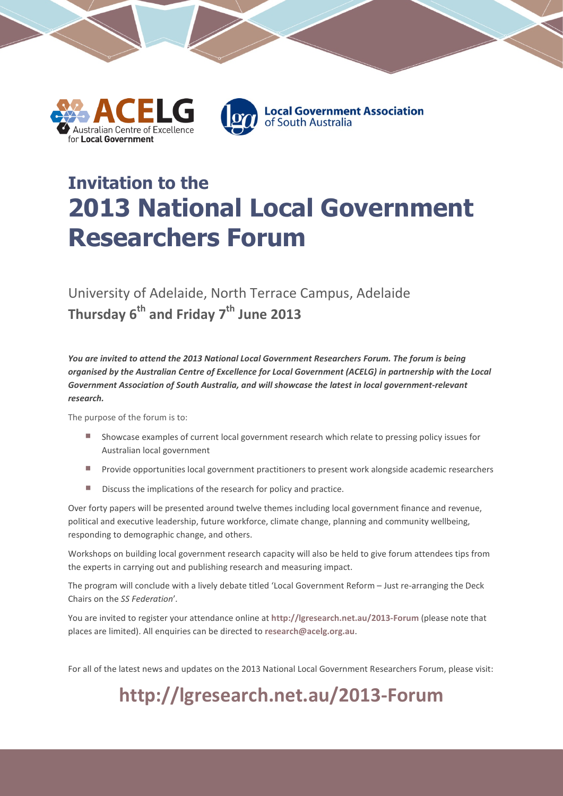

# **Invitation to the 2013 National Local Government Researchers Forum**

### University of Adelaide, North Terrace Campus, Adelaide **Thursday 6th and Friday 7th June 2013**

*You are invited to attend the 2013 National Local Government Researchers Forum. The forum is being organised by the Australian Centre of Excellence for Local Government (ACELG) in partnership with the Local Government Association of South Australia, and will showcase the latest in local government-relevant research.*

The purpose of the forum is to:

- Showcase examples of current local government research which relate to pressing policy issues for Australian local government
- Provide opportunities local government practitioners to present work alongside academic researchers
- **Discuss the implications of the research for policy and practice.**

Over forty papers will be presented around twelve themes including local government finance and revenue, political and executive leadership, future workforce, climate change, planning and community wellbeing, responding to demographic change, and others.

Workshops on building local government research capacity will also be held to give forum attendees tips from the experts in carrying out and publishing research and measuring impact.

The program will conclude with a lively debate titled 'Local Government Reform – Just re-arranging the Deck Chairs on the *SS Federation*'*.*

You are invited to register your attendance online at **<http://lgresearch.net.au/2013-Forum>** (please note that places are limited). All enquiries can be directed to **[research@acelg.org.au](mailto:research@acelg.org.au)**.

For all of the latest news and updates on the 2013 National Local Government Researchers Forum, please visit:

## **<http://lgresearch.net.au/2013-Forum>**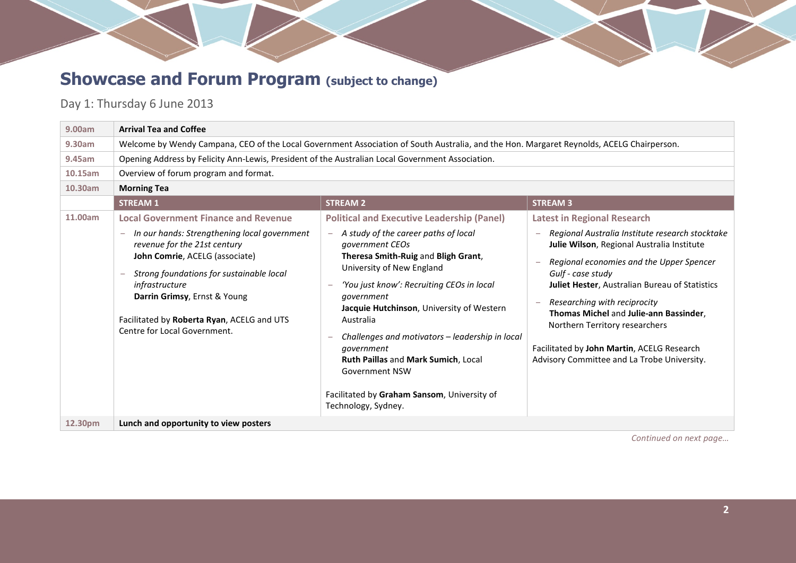## **Showcase and Forum Program** (subject to change)

#### Day 1: Thursday 6 June 2013

| 9.00am  | <b>Arrival Tea and Coffee</b>                                                                                                                                                                                                                                                                                                             |                                                                                                                                                                                                                                                                                                                                                                                                                                                                                                              |                                                                                                                                                                                                                                                                                                                                                                                                                                                                        |  |  |
|---------|-------------------------------------------------------------------------------------------------------------------------------------------------------------------------------------------------------------------------------------------------------------------------------------------------------------------------------------------|--------------------------------------------------------------------------------------------------------------------------------------------------------------------------------------------------------------------------------------------------------------------------------------------------------------------------------------------------------------------------------------------------------------------------------------------------------------------------------------------------------------|------------------------------------------------------------------------------------------------------------------------------------------------------------------------------------------------------------------------------------------------------------------------------------------------------------------------------------------------------------------------------------------------------------------------------------------------------------------------|--|--|
| 9.30am  | Welcome by Wendy Campana, CEO of the Local Government Association of South Australia, and the Hon. Margaret Reynolds, ACELG Chairperson.                                                                                                                                                                                                  |                                                                                                                                                                                                                                                                                                                                                                                                                                                                                                              |                                                                                                                                                                                                                                                                                                                                                                                                                                                                        |  |  |
| 9.45am  | Opening Address by Felicity Ann-Lewis, President of the Australian Local Government Association.                                                                                                                                                                                                                                          |                                                                                                                                                                                                                                                                                                                                                                                                                                                                                                              |                                                                                                                                                                                                                                                                                                                                                                                                                                                                        |  |  |
| 10.15am | Overview of forum program and format.                                                                                                                                                                                                                                                                                                     |                                                                                                                                                                                                                                                                                                                                                                                                                                                                                                              |                                                                                                                                                                                                                                                                                                                                                                                                                                                                        |  |  |
| 10.30am | <b>Morning Tea</b>                                                                                                                                                                                                                                                                                                                        |                                                                                                                                                                                                                                                                                                                                                                                                                                                                                                              |                                                                                                                                                                                                                                                                                                                                                                                                                                                                        |  |  |
|         | <b>STREAM 1</b>                                                                                                                                                                                                                                                                                                                           | <b>STREAM 2</b>                                                                                                                                                                                                                                                                                                                                                                                                                                                                                              | <b>STREAM 3</b>                                                                                                                                                                                                                                                                                                                                                                                                                                                        |  |  |
| 11.00am | <b>Local Government Finance and Revenue</b><br>In our hands: Strengthening local government<br>revenue for the 21st century<br>John Comrie, ACELG (associate)<br>Strong foundations for sustainable local<br>infrastructure<br>Darrin Grimsy, Ernst & Young<br>Facilitated by Roberta Ryan, ACELG and UTS<br>Centre for Local Government. | <b>Political and Executive Leadership (Panel)</b><br>A study of the career paths of local<br>government CEOs<br>Theresa Smith-Ruig and Bligh Grant,<br>University of New England<br>'You just know': Recruiting CEOs in local<br>government<br>Jacquie Hutchinson, University of Western<br>Australia<br>Challenges and motivators – leadership in local<br>government<br>Ruth Paillas and Mark Sumich, Local<br><b>Government NSW</b><br>Facilitated by Graham Sansom, University of<br>Technology, Sydney. | <b>Latest in Regional Research</b><br>Regional Australia Institute research stocktake<br>Julie Wilson, Regional Australia Institute<br>Regional economies and the Upper Spencer<br>Gulf - case study<br><b>Juliet Hester, Australian Bureau of Statistics</b><br>Researching with reciprocity<br>Thomas Michel and Julie-ann Bassinder,<br>Northern Territory researchers<br>Facilitated by John Martin, ACELG Research<br>Advisory Committee and La Trobe University. |  |  |
| 12.30pm | Lunch and opportunity to view posters                                                                                                                                                                                                                                                                                                     |                                                                                                                                                                                                                                                                                                                                                                                                                                                                                                              |                                                                                                                                                                                                                                                                                                                                                                                                                                                                        |  |  |

*Continued on next page…*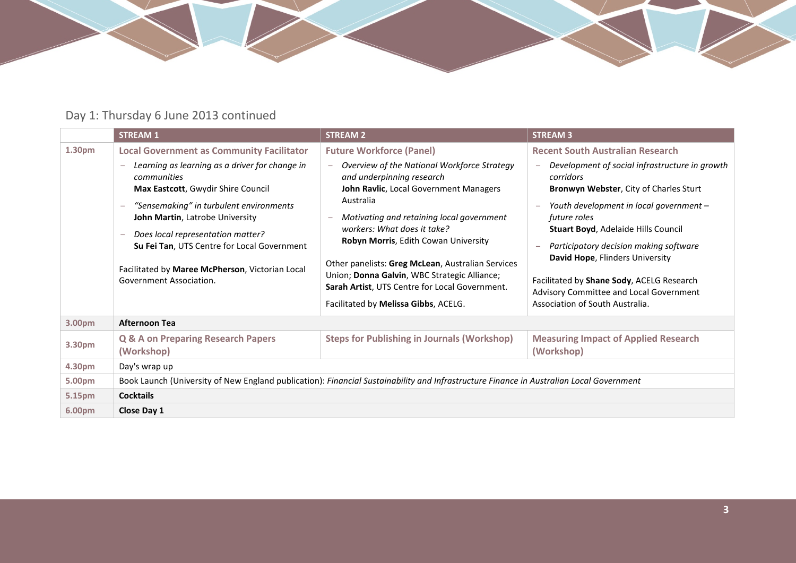

### Day 1: Thursday 6 June 2013 continued

|        | <b>STREAM 1</b>                                                                                                                                                                                                                                                                                                                                                                 | <b>STREAM 2</b>                                                                                                                                                                                                                                                                                                                                                                                                                                    | <b>STREAM 3</b>                                                                                                                                                                                                                                                                                                                                                                                                        |  |
|--------|---------------------------------------------------------------------------------------------------------------------------------------------------------------------------------------------------------------------------------------------------------------------------------------------------------------------------------------------------------------------------------|----------------------------------------------------------------------------------------------------------------------------------------------------------------------------------------------------------------------------------------------------------------------------------------------------------------------------------------------------------------------------------------------------------------------------------------------------|------------------------------------------------------------------------------------------------------------------------------------------------------------------------------------------------------------------------------------------------------------------------------------------------------------------------------------------------------------------------------------------------------------------------|--|
| 1.30pm | <b>Local Government as Community Facilitator</b>                                                                                                                                                                                                                                                                                                                                | <b>Future Workforce (Panel)</b>                                                                                                                                                                                                                                                                                                                                                                                                                    | <b>Recent South Australian Research</b>                                                                                                                                                                                                                                                                                                                                                                                |  |
|        | Learning as learning as a driver for change in<br>communities<br>Max Eastcott, Gwydir Shire Council<br>"Sensemaking" in turbulent environments<br>John Martin, Latrobe University<br>Does local representation matter?<br>$\overline{\phantom{a}}$<br>Su Fei Tan, UTS Centre for Local Government<br>Facilitated by Maree McPherson, Victorian Local<br>Government Association. | Overview of the National Workforce Strategy<br>and underpinning research<br>John Ravlic, Local Government Managers<br>Australia<br>Motivating and retaining local government<br>workers: What does it take?<br>Robyn Morris, Edith Cowan University<br>Other panelists: Greg McLean, Australian Services<br>Union; Donna Galvin, WBC Strategic Alliance;<br>Sarah Artist, UTS Centre for Local Government.<br>Facilitated by Melissa Gibbs, ACELG. | Development of social infrastructure in growth<br>corridors<br><b>Bronwyn Webster, City of Charles Sturt</b><br>Youth development in local government -<br>future roles<br>Stuart Boyd, Adelaide Hills Council<br>Participatory decision making software<br>David Hope, Flinders University<br>Facilitated by Shane Sody, ACELG Research<br>Advisory Committee and Local Government<br>Association of South Australia. |  |
| 3.00pm | <b>Afternoon Tea</b>                                                                                                                                                                                                                                                                                                                                                            |                                                                                                                                                                                                                                                                                                                                                                                                                                                    |                                                                                                                                                                                                                                                                                                                                                                                                                        |  |
| 3.30pm | <b>Q &amp; A on Preparing Research Papers</b><br>(Workshop)                                                                                                                                                                                                                                                                                                                     | <b>Steps for Publishing in Journals (Workshop)</b>                                                                                                                                                                                                                                                                                                                                                                                                 | <b>Measuring Impact of Applied Research</b><br>(Workshop)                                                                                                                                                                                                                                                                                                                                                              |  |
| 4.30pm | Day's wrap up                                                                                                                                                                                                                                                                                                                                                                   |                                                                                                                                                                                                                                                                                                                                                                                                                                                    |                                                                                                                                                                                                                                                                                                                                                                                                                        |  |
| 5.00pm | Book Launch (University of New England publication): Financial Sustainability and Infrastructure Finance in Australian Local Government                                                                                                                                                                                                                                         |                                                                                                                                                                                                                                                                                                                                                                                                                                                    |                                                                                                                                                                                                                                                                                                                                                                                                                        |  |
| 5.15pm | <b>Cocktails</b>                                                                                                                                                                                                                                                                                                                                                                |                                                                                                                                                                                                                                                                                                                                                                                                                                                    |                                                                                                                                                                                                                                                                                                                                                                                                                        |  |
| 6.00pm | Close Day 1                                                                                                                                                                                                                                                                                                                                                                     |                                                                                                                                                                                                                                                                                                                                                                                                                                                    |                                                                                                                                                                                                                                                                                                                                                                                                                        |  |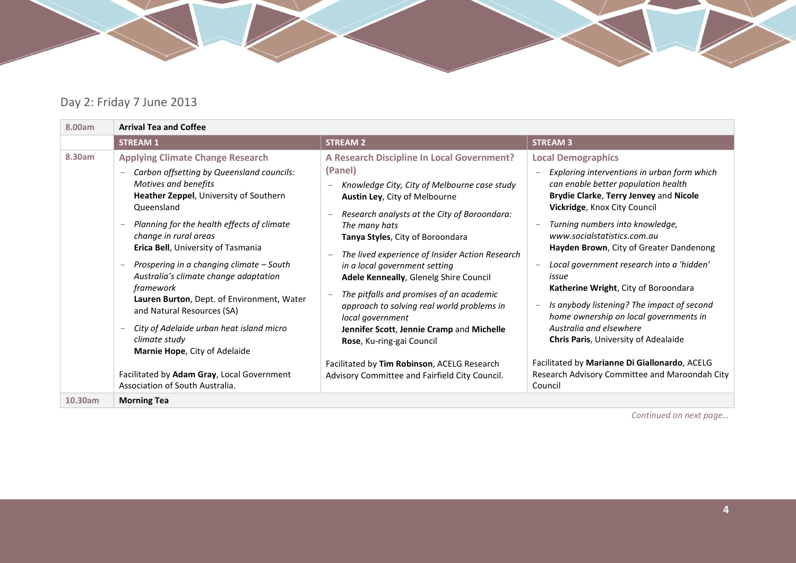

#### Day 2: Friday 7 June 2013

| 8.00am  | <b>Arrival Tea and Coffee</b>                                                                                                                                                                                                                                                                                                                                                                                                                                                                                                                                                                                                                  |                                                                                                                                                                                                                                                                                                                                                                                                                                                                                                                                                                                                                                                                    |                                                                                                                                                                                                                                                                                                                                                                                                                                                                                                                                                                                                                                                                                      |  |
|---------|------------------------------------------------------------------------------------------------------------------------------------------------------------------------------------------------------------------------------------------------------------------------------------------------------------------------------------------------------------------------------------------------------------------------------------------------------------------------------------------------------------------------------------------------------------------------------------------------------------------------------------------------|--------------------------------------------------------------------------------------------------------------------------------------------------------------------------------------------------------------------------------------------------------------------------------------------------------------------------------------------------------------------------------------------------------------------------------------------------------------------------------------------------------------------------------------------------------------------------------------------------------------------------------------------------------------------|--------------------------------------------------------------------------------------------------------------------------------------------------------------------------------------------------------------------------------------------------------------------------------------------------------------------------------------------------------------------------------------------------------------------------------------------------------------------------------------------------------------------------------------------------------------------------------------------------------------------------------------------------------------------------------------|--|
|         | <b>STREAM 1</b>                                                                                                                                                                                                                                                                                                                                                                                                                                                                                                                                                                                                                                | <b>STREAM 2</b>                                                                                                                                                                                                                                                                                                                                                                                                                                                                                                                                                                                                                                                    | <b>STREAM 3</b>                                                                                                                                                                                                                                                                                                                                                                                                                                                                                                                                                                                                                                                                      |  |
| 8.30am  | <b>Applying Climate Change Research</b><br>Carbon offsetting by Queensland councils:<br>Motives and benefits<br>Heather Zeppel, University of Southern<br>Queensland<br>Planning for the health effects of climate<br>change in rural areas<br>Erica Bell, University of Tasmania<br>Prospering in a changing climate - South<br>Australia's climate change adaptation<br>framework<br>Lauren Burton, Dept. of Environment, Water<br>and Natural Resources (SA)<br>City of Adelaide urban heat island micro<br>climate study<br>Marnie Hope, City of Adelaide<br>Facilitated by Adam Gray, Local Government<br>Association of South Australia. | A Research Discipline In Local Government?<br>(Panel)<br>Knowledge City, City of Melbourne case study<br>Austin Ley, City of Melbourne<br>Research analysts at the City of Boroondara:<br>The many hats<br>Tanya Styles, City of Boroondara<br>The lived experience of Insider Action Research<br>in a local government setting<br>Adele Kenneally, Glenelg Shire Council<br>The pitfalls and promises of an academic<br>approach to solving real world problems in<br>local government<br>Jennifer Scott, Jennie Cramp and Michelle<br>Rose, Ku-ring-gai Council<br>Facilitated by Tim Robinson, ACELG Research<br>Advisory Committee and Fairfield City Council. | <b>Local Demographics</b><br>Exploring interventions in urban form which<br>can enable better population health<br>Brydie Clarke, Terry Jenvey and Nicole<br>Vickridge, Knox City Council<br>Turning numbers into knowledge,<br>www.socialstatistics.com.au<br>Hayden Brown, City of Greater Dandenong<br>Local government research into a 'hidden'<br>issue<br>Katherine Wright, City of Boroondara<br>Is anybody listening? The impact of second<br>home ownership on local governments in<br>Australia and elsewhere<br><b>Chris Paris, University of Adealaide</b><br>Facilitated by Marianne Di Giallonardo, ACELG<br>Research Advisory Committee and Maroondah City<br>Council |  |
| 10.30am | <b>Morning Tea</b>                                                                                                                                                                                                                                                                                                                                                                                                                                                                                                                                                                                                                             |                                                                                                                                                                                                                                                                                                                                                                                                                                                                                                                                                                                                                                                                    |                                                                                                                                                                                                                                                                                                                                                                                                                                                                                                                                                                                                                                                                                      |  |

*Continued on next page…*